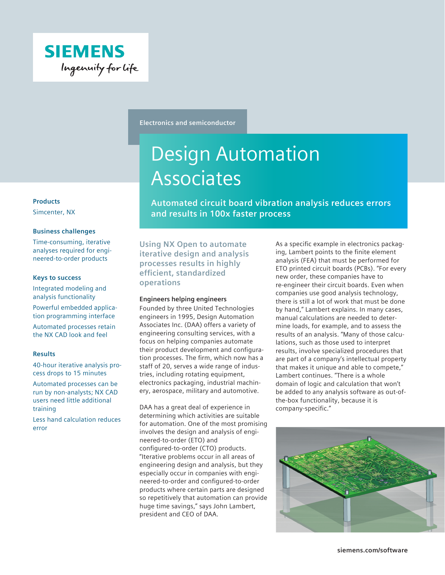

**Electronics and semiconductor**

# Design Automation Associates

**Automated circuit board vibration analysis reduces errors and results in 100x faster process**

**Using NX Open to automate iterative design and analysis processes results in highly efficient, standardized operations**

# **Engineers helping engineers**

Founded by three United Technologies engineers in 1995, Design Automation Associates Inc. (DAA) offers a variety of engineering consulting services, with a focus on helping companies automate their product development and configuration processes. The firm, which now has a staff of 20, serves a wide range of industries, including rotating equipment, electronics packaging, industrial machinery, aerospace, military and automotive.

DAA has a great deal of experience in determining which activities are suitable for automation. One of the most promising involves the design and analysis of engineered-to-order (ETO) and configured-to-order (CTO) products. "Iterative problems occur in all areas of engineering design and analysis, but they especially occur in companies with engineered-to-order and configured-to-order products where certain parts are designed so repetitively that automation can provide huge time savings," says John Lambert, president and CEO of DAA.

As a specific example in electronics packaging, Lambert points to the finite element analysis (FEA) that must be performed for ETO printed circuit boards (PCBs). "For every new order, these companies have to re-engineer their circuit boards. Even when companies use good analysis technology, there is still a lot of work that must be done by hand," Lambert explains. In many cases, manual calculations are needed to determine loads, for example, and to assess the results of an analysis. "Many of those calculations, such as those used to interpret results, involve specialized procedures that are part of a company's intellectual property that makes it unique and able to compete," Lambert continues. "There is a whole domain of logic and calculation that won't be added to any analysis software as out-ofthe-box functionality, because it is company-specific."



# **Products**

Simcenter, NX

### **Business challenges**

Time-consuming, iterative analyses required for engineered-to-order products

#### **Keys to success**

Integrated modeling and analysis functionality

Powerful embedded application programming interface

Automated processes retain the NX CAD look and feel

# **Results**

40-hour iterative analysis process drops to 15 minutes

Automated processes can be run by non-analysts; NX CAD users need little additional training

Less hand calculation reduces error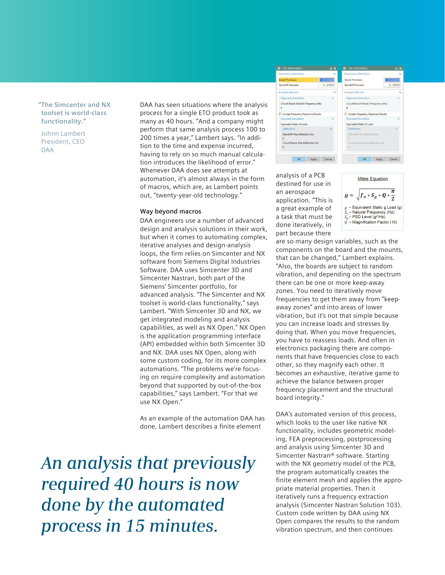**"The Simcenter and NX toolset is world-class functionality."**

Johnn Lambert President, CEO DAA

DAA has seen situations where the analysis process for a single ETO product took as many as 40 hours. "And a company might perform that same analysis process 100 to 200 times a year," Lambert says. "In addition to the time and expense incurred, having to rely on so much manual calculation introduces the likelihood of error." Whenever DAA does see attempts at automation, it's almost always in the form of macros, which are, as Lambert points out, "twenty-year-old technology."

#### **Way beyond macros**

DAA engineers use a number of advanced design and analysis solutions in their work, but when it comes to automating complex, iterative analyses and design-analysis loops, the firm relies on Simcenter and NX software from Siemens Digital Industries Software. DAA uses Simcenter 3D and Simcenter Nastran, both part of the Siemens' Simcenter portfolio, for advanced analysis. "The Simcenter and NX toolset is world-class functionality," says Lambert. "With Simcenter 3D and NX, we get integrated modeling and analysis capabilities, as well as NX Open." NX Open is the application programming interface (API) embedded within both Simcenter 3D and NX. DAA uses NX Open, along with some custom coding, for its more complex automations. "The problems we're focusing on require complexity and automation beyond that supported by out-of-the-box capabilities," says Lambert. "For that we use NX Open."

As an example of the automation DAA has done, Lambert describes a finite element

*An analysis that previously required 40 hours is now done by the automated process in 15 minutes.*



analysis of a PCB destined for use in an aerospace application. "This is a great example of a task that must be done iteratively, in part because there

 $g = \sqrt{f_n * S_g * Q * \frac{\pi}{2}}$ Equivalent Static g Load (g)  $f_n$  – Natural Frequency (Hz)<br> $S_g$  – PSD Level (g<sup>2</sup>/Hz)  $\tilde{Q}$  – Magnification Factor (10)

**Miles Equation** 

are so many design variables, such as the components on the board and the mounts, that can be changed," Lambert explains. "Also, the boards are subject to random vibration, and depending on the spectrum there can be one or more keep-away zones. You need to iteratively move frequencies to get them away from "keepaway zones" and into areas of lower vibration, but it's not that simple because you can increase loads and stresses by doing that. When you move frequencies, you have to reassess loads. And often in electronics packaging there are components that have frequencies close to each other, so they magnify each other. It becomes an exhaustive, iterative game to achieve the balance between proper frequency placement and the structural board integrity."

DAA's automated version of this process, which looks to the user like native NX functionality, includes geometric modeling, FEA preprocessing, postprocessing and analysis using Simcenter 3D and Simcenter Nastran® software. Starting with the NX geometry model of the PCB, the program automatically creates the finite element mesh and applies the appropriate material properties. Then it iteratively runs a frequency extraction analysis (Simcenter Nastran Solution 103). Custom code written by DAA using NX Open compares the results to the random vibration spectrum, and then continues